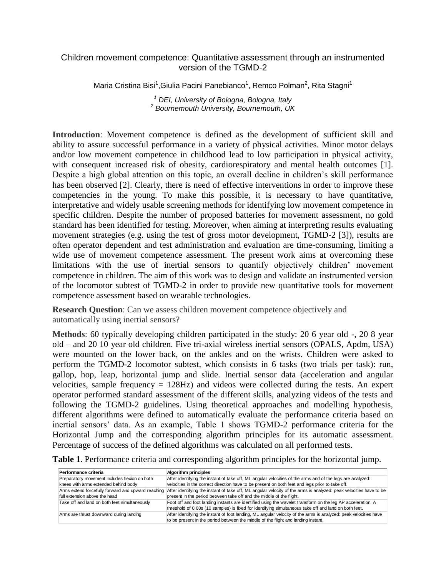## Children movement competence: Quantitative assessment through an instrumented version of the TGMD-2

Maria Cristina Bisi<sup>1</sup>,Giulia Pacini Panebianco<sup>1</sup>, Remco Polman<sup>2</sup>, Rita Stagni<sup>1</sup>

*<sup>1</sup> DEI, University of Bologna, Bologna, Italy 2 Bournemouth University, Bournemouth, UK*

**Introduction**: Movement competence is defined as the development of sufficient skill and ability to assure successful performance in a variety of physical activities. Minor motor delays and/or low movement competence in childhood lead to low participation in physical activity, with consequent increased risk of obesity, cardiorespiratory and mental health outcomes [1]. Despite a high global attention on this topic, an overall decline in children's skill performance has been observed [2]. Clearly, there is need of effective interventions in order to improve these competencies in the young. To make this possible, it is necessary to have quantitative, interpretative and widely usable screening methods for identifying low movement competence in specific children. Despite the number of proposed batteries for movement assessment, no gold standard has been identified for testing. Moreover, when aiming at interpreting results evaluating movement strategies (e.g. using the test of gross motor development, TGMD-2 [3]), results are often operator dependent and test administration and evaluation are time-consuming, limiting a wide use of movement competence assessment. The present work aims at overcoming these limitations with the use of inertial sensors to quantify objectively children' movement competence in children. The aim of this work was to design and validate an instrumented version of the locomotor subtest of TGMD-2 in order to provide new quantitative tools for movement competence assessment based on wearable technologies.

**Research Question**: Can we assess children movement competence objectively and automatically using inertial sensors?

**Methods**: 60 typically developing children participated in the study: 20 6 year old -, 20 8 year old – and 20 10 year old children. Five tri-axial wireless inertial sensors (OPALS, Apdm, USA) were mounted on the lower back, on the ankles and on the wrists. Children were asked to perform the TGMD-2 locomotor subtest, which consists in 6 tasks (two trials per task): run, gallop, hop, leap, horizontal jump and slide. Inertial sensor data (acceleration and angular velocities, sample frequency = 128Hz) and videos were collected during the tests. An expert operator performed standard assessment of the different skills, analyzing videos of the tests and following the TGMD-2 guidelines. Using theoretical approaches and modelling hypothesis, different algorithms were defined to automatically evaluate the performance criteria based on inertial sensors' data. As an example, Table 1 shows TGMD-2 performance criteria for the Horizontal Jump and the corresponding algorithm principles for its automatic assessment. Percentage of success of the defined algorithms was calculated on all performed tests.

| Table 1. Performance criteria and corresponding algorithm principles for the horizontal jump. |  |  |  |
|-----------------------------------------------------------------------------------------------|--|--|--|
|-----------------------------------------------------------------------------------------------|--|--|--|

| Performance criteria                                                                | <b>Algorithm principles</b>                                                                                                                                                                                          |
|-------------------------------------------------------------------------------------|----------------------------------------------------------------------------------------------------------------------------------------------------------------------------------------------------------------------|
| Preparatory movement includes flexion on both                                       | After identifying the instant of take off, ML angular velocities of the arms and of the legs are analyzed:                                                                                                           |
| knees with arms extended behind body                                                | velocities in the correct direction have to be present on both feet and legs prior to take off.                                                                                                                      |
| Arms extend forcefully forward and upward reaching<br>full extension above the head | After identifying the instant of take off, ML angular velocity of the arms is analyzed: peak velocities have to be<br>present in the period between take off and the middle of the flight.                           |
| Take off and land on both feet simultaneously                                       | Foot off and foot landing instants are identified using the wavelet transform on the leg AP acceleration. A<br>threshold of 0.08s (10 samples) is fixed for identifying simultaneous take off and land on both feet. |
| Arms are thrust downward during landing                                             | After identifying the instant of foot landing, ML angular velocity of the arms is analyzed: peak velocities have<br>to be present in the period between the middle of the flight and landing instant.                |